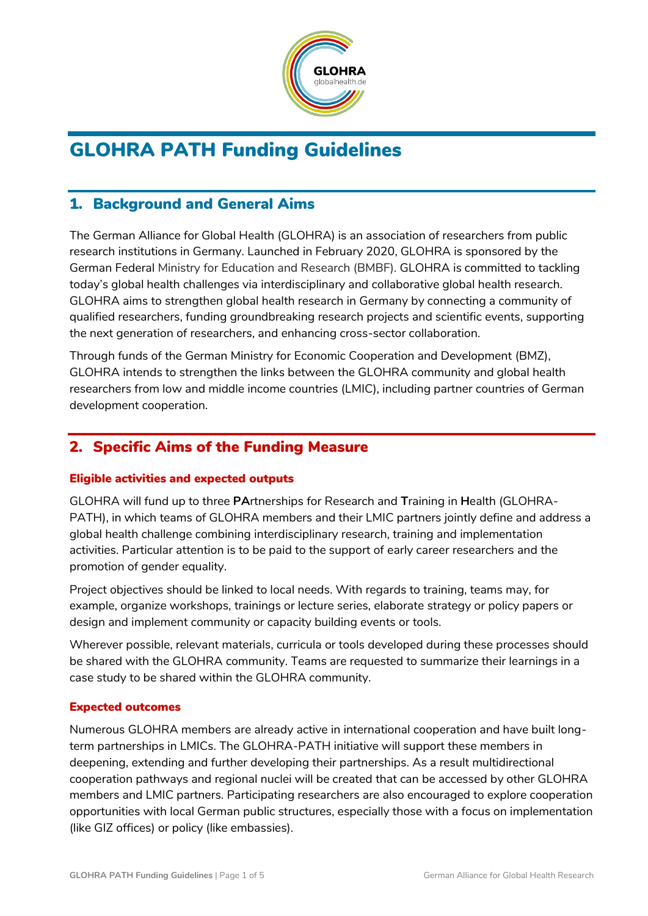

# GLOHRA PATH Funding Guidelines

# 1. Background and General Aims

The German Alliance for Global Health (GLOHRA) is an association of researchers from public research institutions in Germany. Launched in February 2020, GLOHRA is sponsored by the German Federal Ministry for Education and Research (BMBF). GLOHRA is committed to tackling today's global health challenges via interdisciplinary and collaborative global health research. GLOHRA aims to strengthen global health research in Germany by connecting a community of qualified researchers, funding groundbreaking research projects and scientific events, supporting the next generation of researchers, and enhancing cross-sector collaboration.

Through funds of the German Ministry for Economic Cooperation and Development (BMZ), GLOHRA intends to strengthen the links between the GLOHRA community and global health researchers from low and middle income countries (LMIC), including partner countries of German development cooperation.

# 2. Specific Aims of the Funding Measure

#### Eligible activities and expected outputs

GLOHRA will fund up to three **PA**rtnerships for Research and **T**raining in **H**ealth (GLOHRA-PATH), in which teams of GLOHRA members and their LMIC partners jointly define and address a global health challenge combining interdisciplinary research, training and implementation activities. Particular attention is to be paid to the support of early career researchers and the promotion of gender equality.

Project objectives should be linked to local needs. With regards to training, teams may, for example, organize workshops, trainings or lecture series, elaborate strategy or policy papers or design and implement community or capacity building events or tools.

Wherever possible, relevant materials, curricula or tools developed during these processes should be shared with the GLOHRA community. Teams are requested to summarize their learnings in a case study to be shared within the GLOHRA community.

#### Expected outcomes

Numerous GLOHRA members are already active in international cooperation and have built longterm partnerships in LMICs. The GLOHRA-PATH initiative will support these members in deepening, extending and further developing their partnerships. As a result multidirectional cooperation pathways and regional nuclei will be created that can be accessed by other GLOHRA members and LMIC partners. Participating researchers are also encouraged to explore cooperation opportunities with local German public structures, especially those with a focus on implementation (like GIZ offices) or policy (like embassies).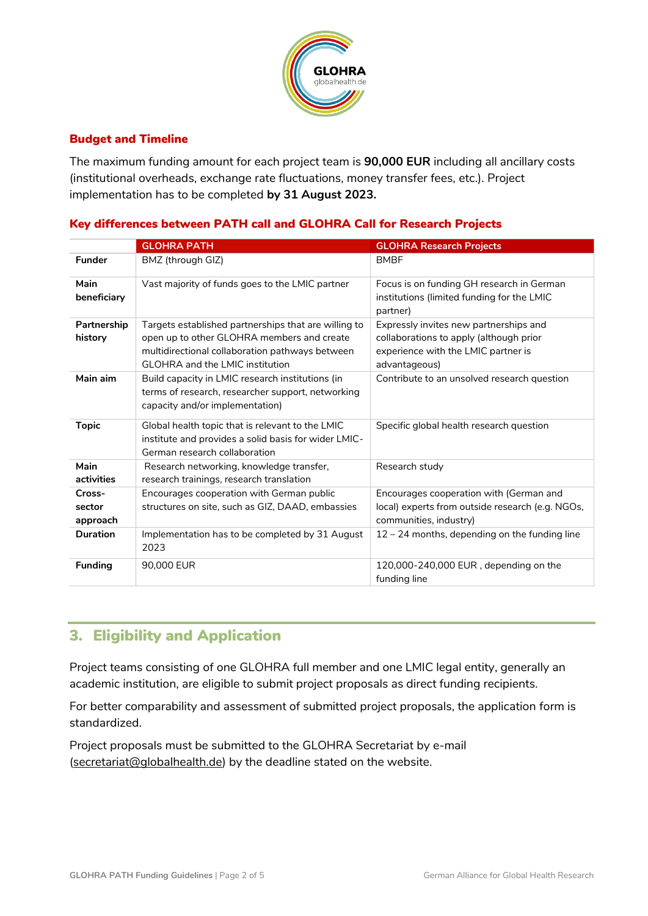

#### Budget and Timeline

The maximum funding amount for each project team is **90,000 EUR** including all ancillary costs (institutional overheads, exchange rate fluctuations, money transfer fees, etc.). Project implementation has to be completed **by 31 August 2023.**

#### Key differences between PATH call and GLOHRA Call for Research Projects

|                              | <b>GLOHRA PATH</b>                                                                                                                                                                              | <b>GLOHRA Research Projects</b>                                                                                                           |
|------------------------------|-------------------------------------------------------------------------------------------------------------------------------------------------------------------------------------------------|-------------------------------------------------------------------------------------------------------------------------------------------|
| <b>Funder</b>                | BMZ (through GIZ)                                                                                                                                                                               | <b>BMBF</b>                                                                                                                               |
| Main<br>beneficiary          | Vast majority of funds goes to the LMIC partner                                                                                                                                                 | Focus is on funding GH research in German<br>institutions (limited funding for the LMIC<br>partner)                                       |
| Partnership<br>history       | Targets established partnerships that are willing to<br>open up to other GLOHRA members and create<br>multidirectional collaboration pathways between<br><b>GLOHRA</b> and the LMIC institution | Expressly invites new partnerships and<br>collaborations to apply (although prior<br>experience with the LMIC partner is<br>advantageous) |
| Main aim                     | Build capacity in LMIC research institutions (in<br>terms of research, researcher support, networking<br>capacity and/or implementation)                                                        | Contribute to an unsolved research question                                                                                               |
| <b>Topic</b>                 | Global health topic that is relevant to the LMIC<br>institute and provides a solid basis for wider LMIC-<br>German research collaboration                                                       | Specific global health research question                                                                                                  |
| Main<br>activities           | Research networking, knowledge transfer,<br>research trainings, research translation                                                                                                            | Research study                                                                                                                            |
| Cross-<br>sector<br>approach | Encourages cooperation with German public<br>structures on site, such as GIZ, DAAD, embassies                                                                                                   | Encourages cooperation with (German and<br>local) experts from outside research (e.g. NGOs,<br>communities, industry)                     |
| <b>Duration</b>              | Implementation has to be completed by 31 August<br>2023                                                                                                                                         | 12 - 24 months, depending on the funding line                                                                                             |
| <b>Funding</b>               | 90,000 EUR                                                                                                                                                                                      | 120,000-240,000 EUR, depending on the<br>funding line                                                                                     |

## 3. Eligibility and Application

Project teams consisting of one GLOHRA full member and one LMIC legal entity, generally an academic institution, are eligible to submit project proposals as direct funding recipients.

For better comparability and assessment of submitted project proposals, the application form is standardized.

Project proposals must be submitted to the GLOHRA Secretariat by e-mail [\(secretariat@globalhealth.de\)](mailto:secretariat@globalhealth.de) by the deadline stated on the website.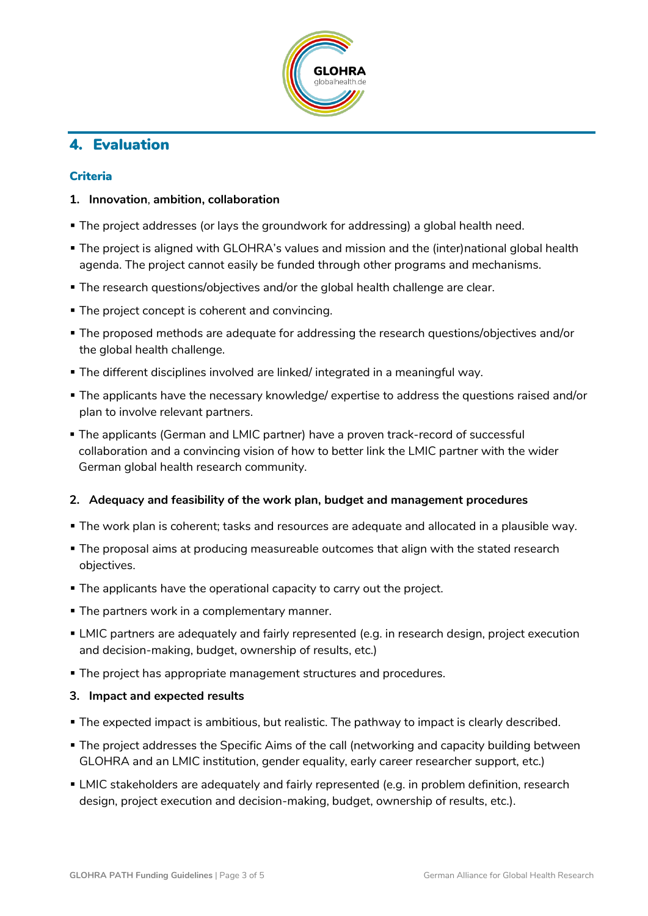

# 4. Evaluation

#### Criteria

#### **1. Innovation**, **ambition, collaboration**

- The project addresses (or lays the groundwork for addressing) a global health need.
- **The project is aligned with GLOHRA's values and mission and the (inter)national global health** agenda. The project cannot easily be funded through other programs and mechanisms.
- The research questions/objectives and/or the global health challenge are clear.
- **The project concept is coherent and convincing.**
- The proposed methods are adequate for addressing the research questions/objectives and/or the global health challenge.
- The different disciplines involved are linked/ integrated in a meaningful way.
- The applicants have the necessary knowledge/ expertise to address the questions raised and/or plan to involve relevant partners.
- The applicants (German and LMIC partner) have a proven track-record of successful collaboration and a convincing vision of how to better link the LMIC partner with the wider German global health research community.

#### **2. Adequacy and feasibility of the work plan, budget and management procedures**

- The work plan is coherent; tasks and resources are adequate and allocated in a plausible way.
- The proposal aims at producing measureable outcomes that align with the stated research objectives.
- The applicants have the operational capacity to carry out the project.
- **The partners work in a complementary manner.**
- LMIC partners are adequately and fairly represented (e.g. in research design, project execution and decision-making, budget, ownership of results, etc.)
- **The project has appropriate management structures and procedures.**

#### **3. Impact and expected results**

- The expected impact is ambitious, but realistic. The pathway to impact is clearly described.
- The project addresses the Specific Aims of the call (networking and capacity building between GLOHRA and an LMIC institution, gender equality, early career researcher support, etc.)
- LMIC stakeholders are adequately and fairly represented (e.g. in problem definition, research design, project execution and decision-making, budget, ownership of results, etc.).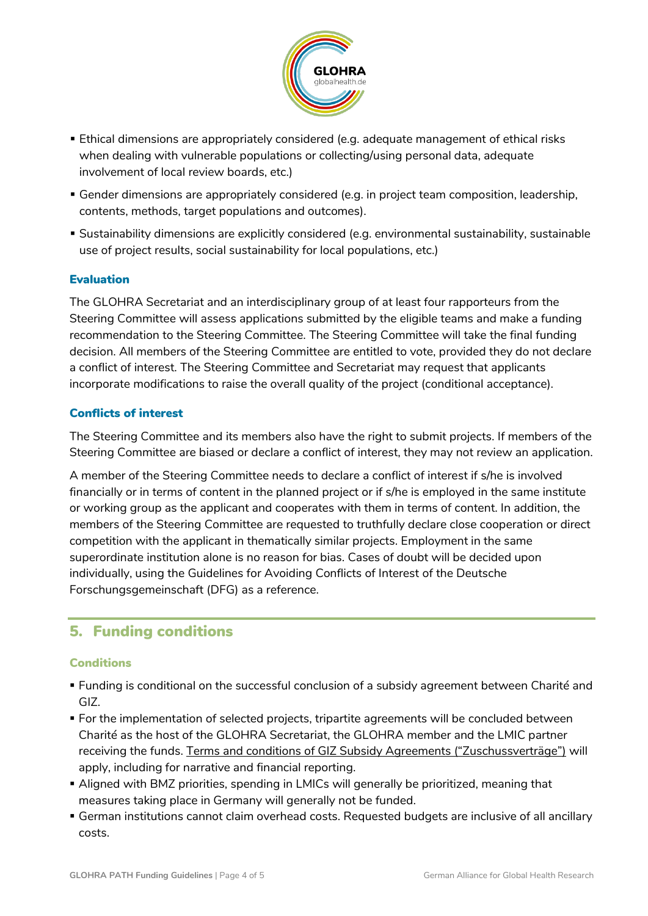

- Ethical dimensions are appropriately considered (e.g. adequate management of ethical risks when dealing with vulnerable populations or collecting/using personal data, adequate involvement of local review boards, etc.)
- Gender dimensions are appropriately considered (e.g. in project team composition, leadership, contents, methods, target populations and outcomes).
- Sustainability dimensions are explicitly considered (e.g. environmental sustainability, sustainable use of project results, social sustainability for local populations, etc.)

#### Evaluation

The GLOHRA Secretariat and an interdisciplinary group of at least four rapporteurs from the Steering Committee will assess applications submitted by the eligible teams and make a funding recommendation to the Steering Committee. The Steering Committee will take the final funding decision. All members of the Steering Committee are entitled to vote, provided they do not declare a conflict of interest. The Steering Committee and Secretariat may request that applicants incorporate modifications to raise the overall quality of the project (conditional acceptance).

#### Conflicts of interest

The Steering Committee and its members also have the right to submit projects. If members of the Steering Committee are biased or declare a conflict of interest, they may not review an application.

A member of the Steering Committee needs to declare a conflict of interest if s/he is involved financially or in terms of content in the planned project or if s/he is employed in the same institute or working group as the applicant and cooperates with them in terms of content. In addition, the members of the Steering Committee are requested to truthfully declare close cooperation or direct competition with the applicant in thematically similar projects. Employment in the same superordinate institution alone is no reason for bias. Cases of doubt will be decided upon individually, using the Guidelines for Avoiding Conflicts of Interest of the Deutsche Forschungsgemeinschaft (DFG) as a reference.

## 5. Funding conditions

#### **Conditions**

- Funding is conditional on the successful conclusion of a subsidy agreement between Charité and GIZ.
- For the implementation of selected projects, tripartite agreements will be concluded between Charité as the host of the GLOHRA Secretariat, the GLOHRA member and the LMIC partner receiving the funds. [Terms and conditions of GIZ Subsidy Agreements \("Zuschussverträge"\)](https://www.giz.de/en/workingwithgiz/34529.html) will apply, including for narrative and financial reporting.
- Aligned with BMZ priorities, spending in LMICs will generally be prioritized, meaning that measures taking place in Germany will generally not be funded.
- German institutions cannot claim overhead costs. Requested budgets are inclusive of all ancillary costs.